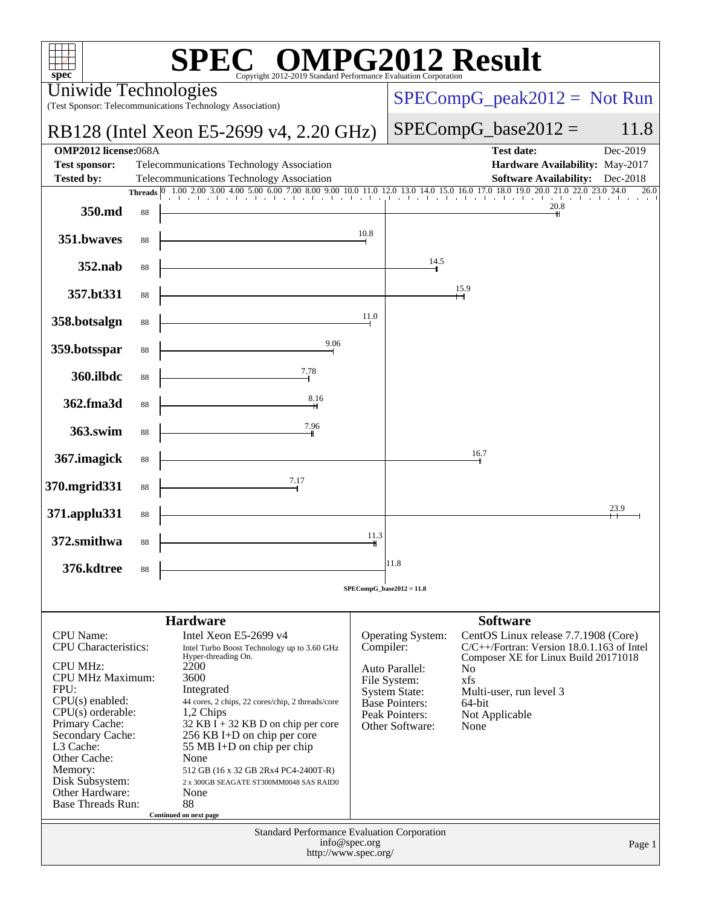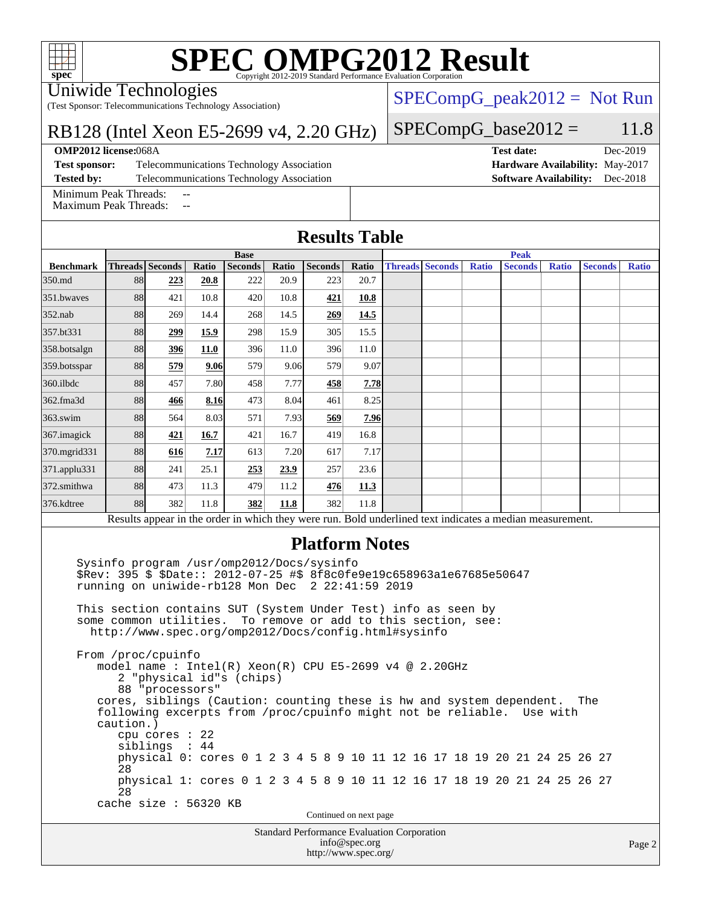#### Uniwide Technologies

(Test Sponsor: Telecommunications Technology Association)

### RB128 (Intel Xeon E5-2699 v4, 2.20 GHz)

#### **[OMP2012 license:](http://www.spec.org/auto/omp2012/Docs/result-fields.html#OMP2012license)**068A **[Test date:](http://www.spec.org/auto/omp2012/Docs/result-fields.html#Testdate)** Dec-2019

**[Test sponsor:](http://www.spec.org/auto/omp2012/Docs/result-fields.html#Testsponsor)** Telecommunications Technology Association **[Hardware Availability:](http://www.spec.org/auto/omp2012/Docs/result-fields.html#HardwareAvailability)** May-2017 **[Tested by:](http://www.spec.org/auto/omp2012/Docs/result-fields.html#Testedby)** Telecommunications Technology Association **[Software Availability:](http://www.spec.org/auto/omp2012/Docs/result-fields.html#SoftwareAvailability)** Dec-2018

[Minimum Peak Threads:](http://www.spec.org/auto/omp2012/Docs/result-fields.html#MinimumPeakThreads)

[Maximum Peak Threads:](http://www.spec.org/auto/omp2012/Docs/result-fields.html#MaximumPeakThreads)

**[Results Table](http://www.spec.org/auto/omp2012/Docs/result-fields.html#ResultsTable) [Benchmark](http://www.spec.org/auto/omp2012/Docs/result-fields.html#Benchmark) [Threads](http://www.spec.org/auto/omp2012/Docs/result-fields.html#Threads) [Seconds](http://www.spec.org/auto/omp2012/Docs/result-fields.html#Seconds) [Ratio](http://www.spec.org/auto/omp2012/Docs/result-fields.html#Ratio) [Seconds](http://www.spec.org/auto/omp2012/Docs/result-fields.html#Seconds) [Ratio](http://www.spec.org/auto/omp2012/Docs/result-fields.html#Ratio) [Seconds](http://www.spec.org/auto/omp2012/Docs/result-fields.html#Seconds) [Ratio](http://www.spec.org/auto/omp2012/Docs/result-fields.html#Ratio) Base [Threads](http://www.spec.org/auto/omp2012/Docs/result-fields.html#Threads) [Seconds](http://www.spec.org/auto/omp2012/Docs/result-fields.html#Seconds) [Ratio](http://www.spec.org/auto/omp2012/Docs/result-fields.html#Ratio) [Seconds](http://www.spec.org/auto/omp2012/Docs/result-fields.html#Seconds) [Ratio](http://www.spec.org/auto/omp2012/Docs/result-fields.html#Ratio) [Seconds](http://www.spec.org/auto/omp2012/Docs/result-fields.html#Seconds) [Ratio](http://www.spec.org/auto/omp2012/Docs/result-fields.html#Ratio) Peak** [350.md](http://www.spec.org/auto/omp2012/Docs/350.md.html) 88 **[223](http://www.spec.org/auto/omp2012/Docs/result-fields.html#Median) [20.8](http://www.spec.org/auto/omp2012/Docs/result-fields.html#Median)** 222 20.9 223 20.7 [351.bwaves](http://www.spec.org/auto/omp2012/Docs/351.bwaves.html) 88 421 10.8 420 10.8 **[421](http://www.spec.org/auto/omp2012/Docs/result-fields.html#Median) [10.8](http://www.spec.org/auto/omp2012/Docs/result-fields.html#Median)** [352.nab](http://www.spec.org/auto/omp2012/Docs/352.nab.html) 88 269 14.4 268 14.5 **[269](http://www.spec.org/auto/omp2012/Docs/result-fields.html#Median) [14.5](http://www.spec.org/auto/omp2012/Docs/result-fields.html#Median)** [357.bt331](http://www.spec.org/auto/omp2012/Docs/357.bt331.html) 88 **[299](http://www.spec.org/auto/omp2012/Docs/result-fields.html#Median) [15.9](http://www.spec.org/auto/omp2012/Docs/result-fields.html#Median)** 298 15.9 305 15.5 [358.botsalgn](http://www.spec.org/auto/omp2012/Docs/358.botsalgn.html) 88 **[396](http://www.spec.org/auto/omp2012/Docs/result-fields.html#Median) [11.0](http://www.spec.org/auto/omp2012/Docs/result-fields.html#Median)** 396 11.0 396 11.0 [359.botsspar](http://www.spec.org/auto/omp2012/Docs/359.botsspar.html) 88 **[579](http://www.spec.org/auto/omp2012/Docs/result-fields.html#Median) [9.06](http://www.spec.org/auto/omp2012/Docs/result-fields.html#Median)** 579 9.06 579 9.07 [360.ilbdc](http://www.spec.org/auto/omp2012/Docs/360.ilbdc.html) 88 457 7.80 458 7.77 **[458](http://www.spec.org/auto/omp2012/Docs/result-fields.html#Median) [7.78](http://www.spec.org/auto/omp2012/Docs/result-fields.html#Median)** [362.fma3d](http://www.spec.org/auto/omp2012/Docs/362.fma3d.html) 88 **[466](http://www.spec.org/auto/omp2012/Docs/result-fields.html#Median) [8.16](http://www.spec.org/auto/omp2012/Docs/result-fields.html#Median)** 473 8.04 461 8.25 [363.swim](http://www.spec.org/auto/omp2012/Docs/363.swim.html) 88 564 8.03 571 7.93 **[569](http://www.spec.org/auto/omp2012/Docs/result-fields.html#Median) [7.96](http://www.spec.org/auto/omp2012/Docs/result-fields.html#Median)** [367.imagick](http://www.spec.org/auto/omp2012/Docs/367.imagick.html) 88 **[421](http://www.spec.org/auto/omp2012/Docs/result-fields.html#Median) [16.7](http://www.spec.org/auto/omp2012/Docs/result-fields.html#Median)** 421 16.7 419 16.8 [370.mgrid331](http://www.spec.org/auto/omp2012/Docs/370.mgrid331.html) 88 **[616](http://www.spec.org/auto/omp2012/Docs/result-fields.html#Median) [7.17](http://www.spec.org/auto/omp2012/Docs/result-fields.html#Median)** 613 7.20 617 7.17 [371.applu331](http://www.spec.org/auto/omp2012/Docs/371.applu331.html) 88 241 25.1 **[253](http://www.spec.org/auto/omp2012/Docs/result-fields.html#Median) [23.9](http://www.spec.org/auto/omp2012/Docs/result-fields.html#Median)** 257 23.6 [372.smithwa](http://www.spec.org/auto/omp2012/Docs/372.smithwa.html) 88 473 11.3 479 11.2 **[476](http://www.spec.org/auto/omp2012/Docs/result-fields.html#Median) [11.3](http://www.spec.org/auto/omp2012/Docs/result-fields.html#Median)** [376.kdtree](http://www.spec.org/auto/omp2012/Docs/376.kdtree.html) 88 382 11.8 **[382](http://www.spec.org/auto/omp2012/Docs/result-fields.html#Median) [11.8](http://www.spec.org/auto/omp2012/Docs/result-fields.html#Median)** 382 11.8 Results appear in the [order in which they were run.](http://www.spec.org/auto/omp2012/Docs/result-fields.html#RunOrder) Bold underlined text [indicates a median measurement.](http://www.spec.org/auto/omp2012/Docs/result-fields.html#Median) **[Platform Notes](http://www.spec.org/auto/omp2012/Docs/result-fields.html#PlatformNotes)**

 Sysinfo program /usr/omp2012/Docs/sysinfo \$Rev: 395 \$ \$Date:: 2012-07-25 #\$ 8f8c0fe9e19c658963a1e67685e50647 running on uniwide-rb128 Mon Dec 2 22:41:59 2019 This section contains SUT (System Under Test) info as seen by

 some common utilities. To remove or add to this section, see: <http://www.spec.org/omp2012/Docs/config.html#sysinfo>

 From /proc/cpuinfo model name : Intel(R) Xeon(R) CPU E5-2699 v4 @ 2.20GHz 2 "physical id"s (chips) 88 "processors" cores, siblings (Caution: counting these is hw and system dependent. The following excerpts from /proc/cpuinfo might not be reliable. Use with caution.) cpu cores : 22 siblings : 44 physical 0: cores 0 1 2 3 4 5 8 9 10 11 12 16 17 18 19 20 21 24 25 26 27 28 physical 1: cores 0 1 2 3 4 5 8 9 10 11 12 16 17 18 19 20 21 24 25 26 27 28 cache size : 56320 KB

Continued on next page

Standard Performance Evaluation Corporation [info@spec.org](mailto:info@spec.org) <http://www.spec.org/>

 $SPECompG_peak2012 = Not Run$  $SPECompG_peak2012 = Not Run$ 

### $SPECompG_base2012 = 11.8$  $SPECompG_base2012 = 11.8$

Page 2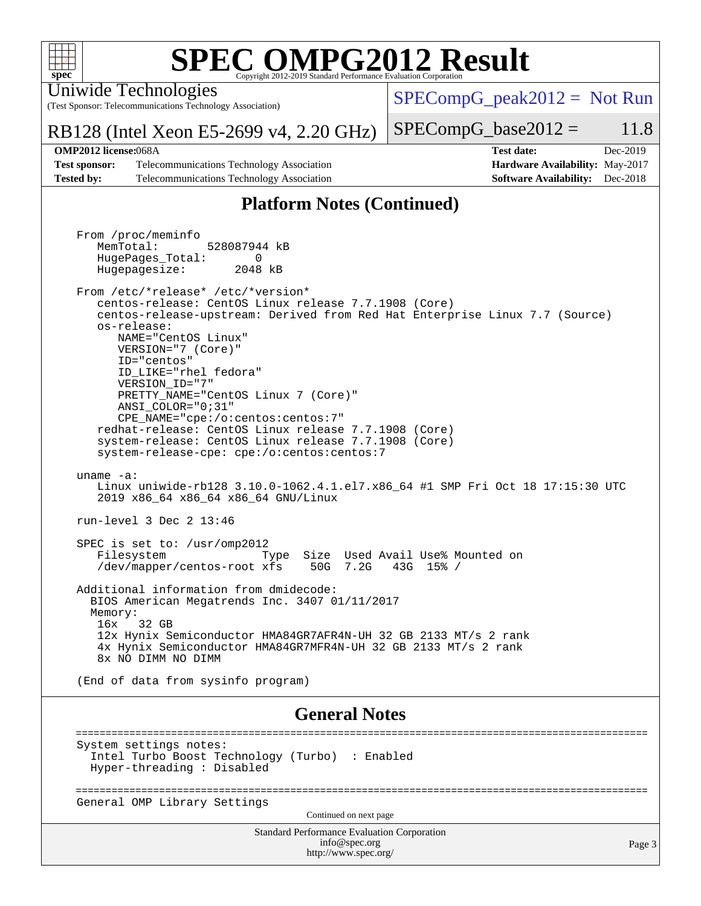

Uniwide Technologies

(Test Sponsor: Telecommunications Technology Association)

 $SPECompG_peak2012 = Not Run$  $SPECompG_peak2012 = Not Run$ 

### RB128 (Intel Xeon E5-2699 v4, 2.20 GHz)

**[Test sponsor:](http://www.spec.org/auto/omp2012/Docs/result-fields.html#Testsponsor)** Telecommunications Technology Association **[Hardware Availability:](http://www.spec.org/auto/omp2012/Docs/result-fields.html#HardwareAvailability)** May-2017 **[Tested by:](http://www.spec.org/auto/omp2012/Docs/result-fields.html#Testedby)** Telecommunications Technology Association **[Software Availability:](http://www.spec.org/auto/omp2012/Docs/result-fields.html#SoftwareAvailability)** Dec-2018

## $SPECompG_base2012 = 11.8$  $SPECompG_base2012 = 11.8$ **[OMP2012 license:](http://www.spec.org/auto/omp2012/Docs/result-fields.html#OMP2012license)**068A **[Test date:](http://www.spec.org/auto/omp2012/Docs/result-fields.html#Testdate)** Dec-2019

Page 3

## **[Platform Notes \(Continued\)](http://www.spec.org/auto/omp2012/Docs/result-fields.html#PlatformNotes)**

Standard Performance Evaluation Corporation From /proc/meminfo MemTotal: 528087944 kB HugePages\_Total: 0<br>Hugepagesize: 2048 kB Hugepagesize: From /etc/\*release\* /etc/\*version\* centos-release: CentOS Linux release 7.7.1908 (Core) centos-release-upstream: Derived from Red Hat Enterprise Linux 7.7 (Source) os-release: NAME="CentOS Linux" VERSION="7 (Core)" ID="centos" ID\_LIKE="rhel fedora" VERSION\_ID="7" PRETTY\_NAME="CentOS Linux 7 (Core)" ANSI\_COLOR="0;31" CPE\_NAME="cpe:/o:centos:centos:7" redhat-release: CentOS Linux release 7.7.1908 (Core) system-release: CentOS Linux release 7.7.1908 (Core) system-release-cpe: cpe:/o:centos:centos:7 uname -a: Linux uniwide-rb128 3.10.0-1062.4.1.el7.x86\_64 #1 SMP Fri Oct 18 17:15:30 UTC 2019 x86\_64 x86\_64 x86\_64 GNU/Linux run-level 3 Dec 2 13:46 SPEC is set to: /usr/omp2012 Filesystem Type Size Used Avail Use% Mounted on /dev/mapper/centos-root xfs 50G 7.2G 43G 15% / Additional information from dmidecode: BIOS American Megatrends Inc. 3407 01/11/2017 Memory: 16x 32 GB 12x Hynix Semiconductor HMA84GR7AFR4N-UH 32 GB 2133 MT/s 2 rank 4x Hynix Semiconductor HMA84GR7MFR4N-UH 32 GB 2133 MT/s 2 rank 8x NO DIMM NO DIMM (End of data from sysinfo program) **[General Notes](http://www.spec.org/auto/omp2012/Docs/result-fields.html#GeneralNotes)** ================================================================================================ System settings notes: Intel Turbo Boost Technology (Turbo) : Enabled Hyper-threading : Disabled ================================================================================================ General OMP Library Settings Continued on next page

> [info@spec.org](mailto:info@spec.org) <http://www.spec.org/>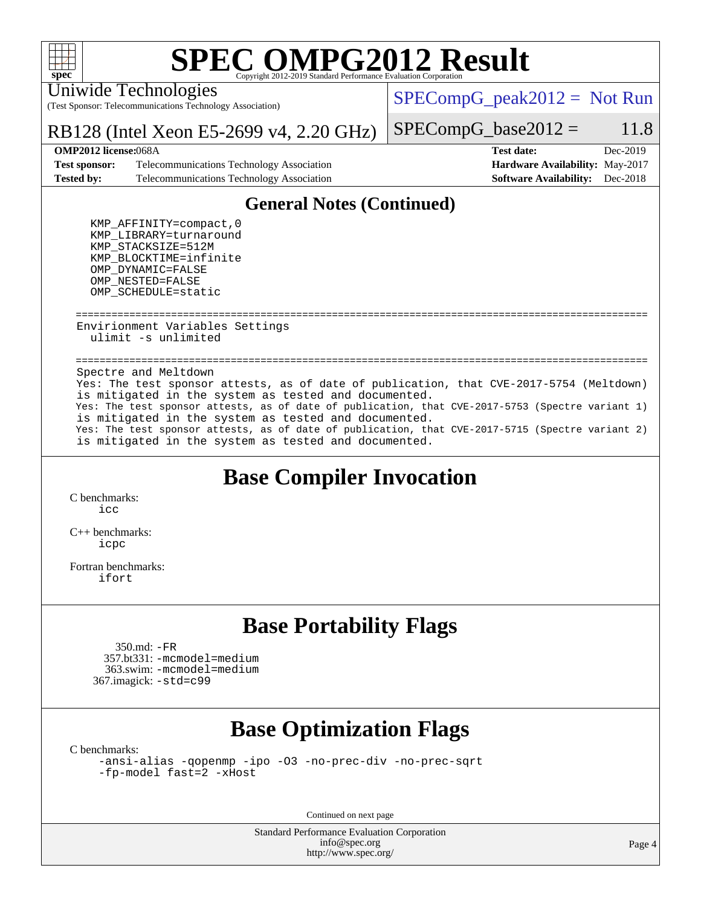

#### Uniwide Technologies

(Test Sponsor: Telecommunications Technology Association)

 $SPECompG_peak2012 = Not Run$  $SPECompG_peak2012 = Not Run$ 

### RB128 (Intel Xeon E5-2699 v4, 2.20 GHz)

#### $SPECompG_base2012 = 11.8$  $SPECompG_base2012 = 11.8$

#### **[OMP2012 license:](http://www.spec.org/auto/omp2012/Docs/result-fields.html#OMP2012license)**068A **[Test date:](http://www.spec.org/auto/omp2012/Docs/result-fields.html#Testdate)** Dec-2019

**[Test sponsor:](http://www.spec.org/auto/omp2012/Docs/result-fields.html#Testsponsor)** Telecommunications Technology Association **[Hardware Availability:](http://www.spec.org/auto/omp2012/Docs/result-fields.html#HardwareAvailability)** May-2017 **[Tested by:](http://www.spec.org/auto/omp2012/Docs/result-fields.html#Testedby)** Telecommunications Technology Association **[Software Availability:](http://www.spec.org/auto/omp2012/Docs/result-fields.html#SoftwareAvailability)** Dec-2018

# **[General Notes \(Continued\)](http://www.spec.org/auto/omp2012/Docs/result-fields.html#GeneralNotes)**

 KMP\_AFFINITY=compact,0 KMP\_LIBRARY=turnaround KMP\_STACKSIZE=512M KMP\_BLOCKTIME=infinite OMP\_DYNAMIC=FALSE OMP\_NESTED=FALSE OMP\_SCHEDULE=static

 ================================================================================================ Envirionment Variables Settings ulimit -s unlimited

 ================================================================================================ Spectre and Meltdown Yes: The test sponsor attests, as of date of publication, that CVE-2017-5754 (Meltdown) is mitigated in the system as tested and documented. Yes: The test sponsor attests, as of date of publication, that CVE-2017-5753 (Spectre variant 1) is mitigated in the system as tested and documented. Yes: The test sponsor attests, as of date of publication, that CVE-2017-5715 (Spectre variant 2) is mitigated in the system as tested and documented.

## **[Base Compiler Invocation](http://www.spec.org/auto/omp2012/Docs/result-fields.html#BaseCompilerInvocation)**

[C benchmarks](http://www.spec.org/auto/omp2012/Docs/result-fields.html#Cbenchmarks): [icc](http://www.spec.org/omp2012/results/res2019q4/omp2012-20191204-00191.flags.html#user_CCbase_intel_icc)

[C++ benchmarks:](http://www.spec.org/auto/omp2012/Docs/result-fields.html#CXXbenchmarks) [icpc](http://www.spec.org/omp2012/results/res2019q4/omp2012-20191204-00191.flags.html#user_CXXbase_intel_icpc)

[Fortran benchmarks](http://www.spec.org/auto/omp2012/Docs/result-fields.html#Fortranbenchmarks): [ifort](http://www.spec.org/omp2012/results/res2019q4/omp2012-20191204-00191.flags.html#user_FCbase_intel_ifort)

## **[Base Portability Flags](http://www.spec.org/auto/omp2012/Docs/result-fields.html#BasePortabilityFlags)**

 350.md: [-FR](http://www.spec.org/omp2012/results/res2019q4/omp2012-20191204-00191.flags.html#user_baseFPORTABILITY350_md_f-FR_826f1f71b114efdd895e50dc86c480ee) 357.bt331: [-mcmodel=medium](http://www.spec.org/omp2012/results/res2019q4/omp2012-20191204-00191.flags.html#user_baseFPORTABILITY357_bt331_f-mcmodel_3a41622424bdd074c4f0f2d2f224c7e5) 363.swim: [-mcmodel=medium](http://www.spec.org/omp2012/results/res2019q4/omp2012-20191204-00191.flags.html#user_baseFPORTABILITY363_swim_f-mcmodel_3a41622424bdd074c4f0f2d2f224c7e5) 367.imagick: [-std=c99](http://www.spec.org/omp2012/results/res2019q4/omp2012-20191204-00191.flags.html#user_baseCPORTABILITY367_imagick_f-std_2ec6533b6e06f1c4a6c9b78d9e9cde24)

## **[Base Optimization Flags](http://www.spec.org/auto/omp2012/Docs/result-fields.html#BaseOptimizationFlags)**

[C benchmarks](http://www.spec.org/auto/omp2012/Docs/result-fields.html#Cbenchmarks):

[-ansi-alias](http://www.spec.org/omp2012/results/res2019q4/omp2012-20191204-00191.flags.html#user_CCbase_f-ansi-alias) [-qopenmp](http://www.spec.org/omp2012/results/res2019q4/omp2012-20191204-00191.flags.html#user_CCbase_f-qopenmp) [-ipo](http://www.spec.org/omp2012/results/res2019q4/omp2012-20191204-00191.flags.html#user_CCbase_f-ipo) [-O3](http://www.spec.org/omp2012/results/res2019q4/omp2012-20191204-00191.flags.html#user_CCbase_f-O3) [-no-prec-div](http://www.spec.org/omp2012/results/res2019q4/omp2012-20191204-00191.flags.html#user_CCbase_f-no-prec-div) [-no-prec-sqrt](http://www.spec.org/omp2012/results/res2019q4/omp2012-20191204-00191.flags.html#user_CCbase_f-no-prec-sqrt) [-fp-model fast=2](http://www.spec.org/omp2012/results/res2019q4/omp2012-20191204-00191.flags.html#user_CCbase_f-fp-model_a7fb8ccb7275e23f0079632c153cfcab) [-xHost](http://www.spec.org/omp2012/results/res2019q4/omp2012-20191204-00191.flags.html#user_CCbase_f-xhost_1e10f91eff8f78573df9db5f5d873511)

Continued on next page

Standard Performance Evaluation Corporation [info@spec.org](mailto:info@spec.org) <http://www.spec.org/>